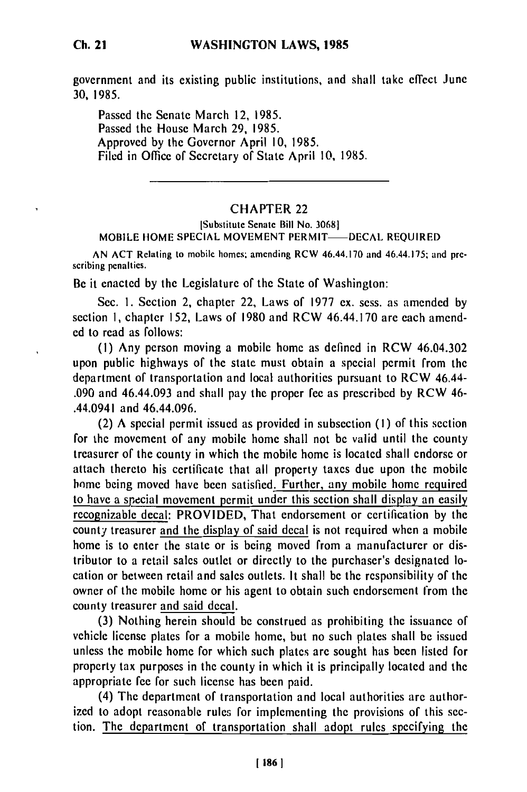## **WASHINGTON LAWS, 1985**

Passed the Senate March 12, 1985. Passed the House March **29,** 1985. Approved by the Governor April **10,** 1985. Filed in Office of Secretary of State April **10,** 1985.

## CHAPTER 22

## [Substitute Senate Bill No. 30681 MOBILE HOME SPECIAL MOVEMENT PERMIT-DECAL REQUIRED

AN ACT Relating to mobile homes; amending RCW 46.44.170 and 46.44.175; and prescribing penalties.

Be it enacted by the Legislature of the State of Washington:

Sec. I. Section 2, chapter 22, Laws of 1977 ex. sess. as amended by section **I,** chapter 152, Laws of 1980 and RCW 46.44.170 are each amended to read as follows:

(I) Any person moving a mobile home as defined in RCW 46.04.302 upon public highways of the state must obtain a special permit from the department of transportation and local authorities pursuant to RCW 46.44- .090 and 46.44.093 and shall pay the proper fee as prescribed by RCW 46- .44.0941 and 46.44.096.

(2) A special permit issued as provided in subsection (I) of this section for the movement of any mobile home shall not be valid until the county treasurer of the county in which the mobile home is located shall endorse or attach thereto his certificate that all property taxes due upon the mobile home being moved have been satisfied. Further, any mobile home required to have a special movement permit under this section shall display an easily recognizable decal: PROVIDED, That endorsement or certification by the county treasurer and the display of said decal is not required when a mobile home is to enter the state or is being moved from a manufacturer or distributor to a retail sales outlet or directly to the purchaser's designated location or between retail and sales outlets. It shall be the responsibility **of** the owner of the mobile home or his agent to obtain such endorsement from the county treasurer and said decal.

(3) Nothing herein should be construed as prohibiting the issuance of vehicle license plates for a mobile home, but no such plates shall be issued unless the mobile home for which such plates are sought has been listed for property tax purposes in the county in which it is principally located and the appropriate fee for such license has been paid.

(4) The department of transportation and local authorities are authorized to adopt reasonable rules for implementing the provisions of this section. The department of transportation shall adopt rules specifying the

**I <sup>1861</sup>**

30, 1985.